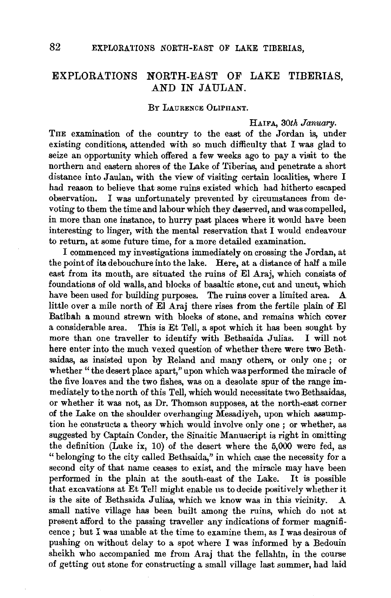## EXPLORATIONS NORTH-EAST OF LAKE TIBERIAS, AND IN JAULAN.

BY LAURENCE 0LIPHANT.

## HAIFA, *30th January.*

THE examination of the country to the east of the Jordan is, under existing conditions, attended with so much difficulty that I was glad to seize an opportunity which offered a few weeks ago to pay a visit to the northern and eastern shores of the Lake of Tiberias, and penetrate a short distance into Jaulan, with the view of visiting certain localities, where I had reason to believe that some ruins existed which had hitherto escaped observation. I was unfortunately prevented by circumstances from devoting to them the time and labour which they deserved, and was compelled, in more than one instance, to hurry past places where it would have been interesting to linger, with the mental reservation that I would endeavour to return, at some future time, for a more detailed examination.

I commenced my investigations immediately on crossing the Jordan, at the point of its debouchure into the lake. Here, at a distance of half a mile east from its mouth, are situated the ruins of El Araj, which consists of foundations of old walls, and blocks of basaltic stone, cut and uncut, which have been used for building purposes. The ruins cover a limited area. A little over a mile north of El Araj there rises from the fertile plain of El Batibah a mound strewn with blocks of stone. and remains which cover a considerable area. This is Et Tell, a spot which it has been sought by more than one traveller to identify with Bethsaida Julias. I will not here enter into the much vexed question of whether there were two Beth. saidas, as insisted upon by Reland and many others, or only one ; or whether "the desert place apart," upon which was performed the miracle of the five loaves and the two fishes, was on a desolate spur of the range immediately to the north of this Tell, which would necessitate two Bethsaidas, or whether it was not, as Dr. Thomson supposes, at the north-east corner of the Lake on the shoulder overhanging Mesadiyeh, upon which assumption he constructs a theory which would involve only one; or whether, as suggested by Captain Conder, the Sinaitic Manuscript is right in omitting the definition (Luke ix, 10) of the desert where the 5,000 were fed, as "belonging to the city called Bethsaida," in which case the necessity for a second city of that name ceases to exist, and the miracle may have been performed in the plain at the south-east of the Lake. It is possible that excavations at Et Tell might enable us to decide positively whether it is the site of Bethsaida Julias, which we know was in this vicinity. small native village has been built among the ruins, which do not at present afford to the passing traveller any indications of former magnificence ; but I was unable at the time to examine them, as I was desirous of pushing on without delay to a spot where I was informed by a Bedouin sheikh who accompanied me from Araj that the fellahin, in the course of getting out stone for constructing a small village last summer, had laid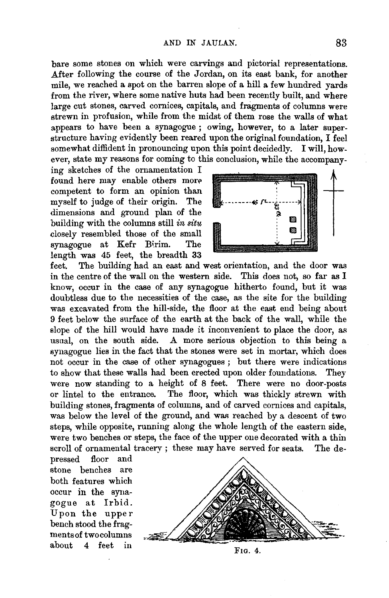bare some stones on which were carvings and pictorial representations. After following the course of the Jordan, on its east bank, for another mile, we reached a spot on the barren slope of a hill a few hundred yards from the river, where some native huts had been recently built, and where large cut stones, carved cornices, capitals, and fragments of columns were strewn in profusion, while from the midst of them rose the walls of what appears to have been a synagogue ; owing, however, to a later superstructure having evidently been reared upon the original foundation, I feel somewhat diffident in pronouncing upon this point decidedly. I will, however, state my reasons for coming to this conclusion, while the accompany-

ing sketches of the ornamentation I found here may enable others more competent to form an opinion than myself to judge of their origin. The dimensions and ground plan of the building with the columns still *in situ*  closely resembled those of the small synagogue at Kefr Birim. The length was 45 feet, the breadth 33<br>feet. The building had an east and

The building had an east and west orientation, and the door was in the centre of the wall on the western side. This does not, so far as I know, occur in the case of any synagogue hitherto found, but it was doubtless due to the necessities of the case, as the site for the building was excavated from the hill-side, the floor at the east end being about 9 feet below the surface of the earth at the back of the wall, while the slope of the hill would have made it inconvenient to place the door, as usual, on the south side. A more serious objection to this being a synagogue lies in the fact that the stones were set in mortar, which does not occur in the case of other synagogues ; but there were indications to show that these walls had been erected upon older foundations. They were now standing to a height of 8 feet. There were no door-posts or lintel to the entrance. The floor, which was thickly strewn with The floor, which was thickly strewn with building stones, fragments of columns, and of carved cornices and capitals, was below the level of the ground, and was reached by a descent of two steps, while opposite, running along the whole length of the eastern side, were two benches or steps, the face of the upper one decorated with a thin scroll of ornamental tracery; these may have served for seats. The de-

pressed floor and stone benches are both features which occur in the synagogue at Irbid. Upon the upper bench stood the fragments of two columns about 4 feet in  $F_{1G. 4}$ .



*·-·---··46* fL--~------

~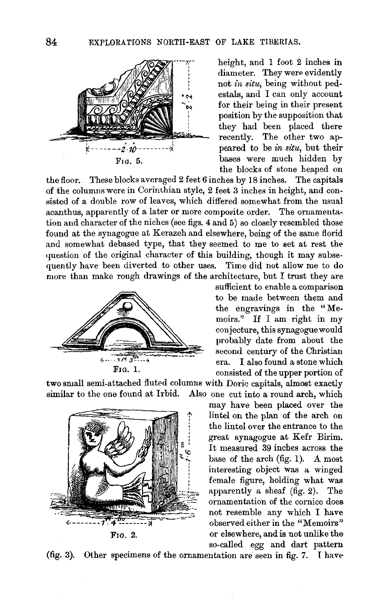

the floor. These blocks averaged 2 feet 6 inches by 18 inches. The capitals of the columns were in Corinthian style, 2 feet 3 inches in height, and consisted of a double row of leaves, which differed somewhat from the usual acanthus, apparently of a later or more composite order. The ornamentation and character of the niches (see figs. 4 and 5) so closely resembled those found at the synagogue at Kerazeh and elsewhere, being of the same florid and somewhat debased type, that they seemed to me to set at rest the question of the original character of this building, though it may subsequently have been diverted to other uses. Time did not allow me to do more than make rough drawings of the architecture, but I trust they are



consisted of the upper portion of two small semi-attached fluted columns with Doric capitals, almost exactly

> may have been placed over the lintel on the plan of the arch on the lintel over the entrance to the great synagogue at Kefr Birim. It measured 39 inches across the base of the arch (fig. 1). A most interesting object was a winged female figure, holding what was apparently a sheaf (fig. 2). The ornamentation of the cornice does not resemble any which I have observed either in the "Memoirs" F<sub>IG.</sub> 2. or elsewhere, and is not unlike the so-called egg and dart pattern

similar to the one found at Irbid. Also one cut into a round arch, which

(fig. 3). Other specimens of the ornamentation are seen in fig. 7. T have

height, and I foot 2 inches in diameter. They were evidently not *in situ,* being without pedestals, and I can only account for their being in their present position by the supposition that they had been placed there recently. The other two appeared to be *in situ,* but their bases were much hidden by the blocks of stone heaped on

sufficient to enable a comparison to be made between them and the engravings in the "Memoirs." If I am right in my conjecture, this synagogue would probably date from about the second century of the Christian era. I also found a stone which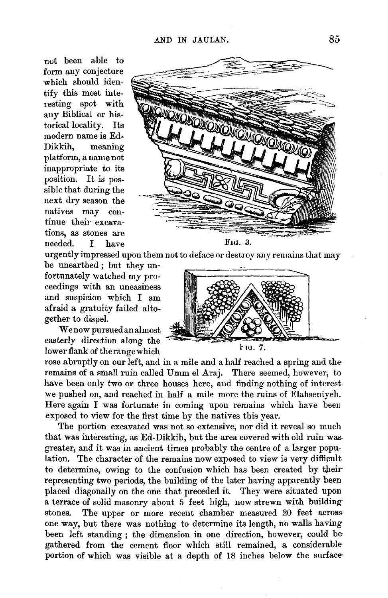not been able to form any conjecture which should identify this most interesting spot with any Biblical or historical locality. Its modern name is Edmeaning platform, a name not inappropriate to its position. It is possible that during the next dry season the natives may continue their excavations, as stones are needed. I have FIG. 3.



urgently impressed upon them not to deface or destroy any remains that may

be unearthed ; but they unfortunately watched my proceedings with an uneasiness and suspicion which I am afraid a gratuity failed altogether to dispel.

We now pursued an almost easterly direction along the  $l_{\text{lower} \text{ flank of the range which}}$   $l_{\text{1G}}$ . 7.

rose abruptly on our left, and in a mile and a half reached a spring and theremains of a small ruin called Umm el Araj. There seemed, however, to have been only two or three houses here, and finding nothing of interest we pushed on, and reached in half a mile more the ruins of Elahseniyeh. Here again I was fortunate in coming upon remains which have beeu exposed to view for the first time by the natives this year.

The portion excavated was not so extensive, nor did it reveal so much that was interesting, as Ed-Dikkih, but the area covered with old ruin was. greater, and it was in ancient times probably the centre of a larger population. The character of the remains now exposed to view is very difficult to determine, owing to the confusion which has been created by theirrepresenting two periods, the building of the later having apparently been placed diagonally on the one that preceded it. They were situated upon a terrace of solid masonry about 5 feet high, now strewn with building stones. The upper or more recent chamber measured 20 feet across. one way, but there was nothing to determine its length, no walls having been left standing ; the dimension in one direction, however, could be gathered from the cement floor which still remained, a considerableportion of which was visible at a depth of 18 inches below the surface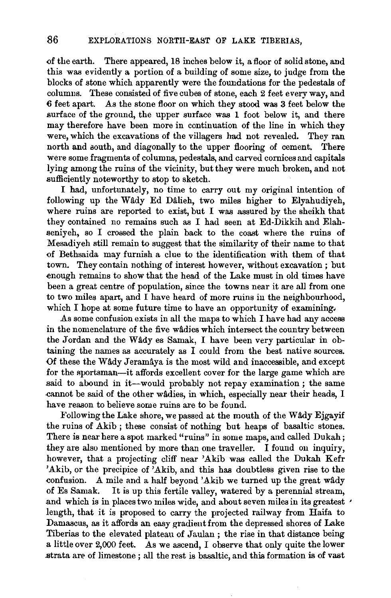of the earth. There appeared, 18 inches below it, a floor of solid stone, and this was evidently a portion of a building of some size, to judge from the blocks of stone which apparently were the foundations for the pedestals of columns. These consisted of five cubes of stone, each 2 feet every way, and 6 feet apart. As the stone floor on which they stood was 3 feet below the surface of the ground, the upper surface was 1 foot below it, and there may therefore have been more in continuation of the line in which they were, which the excavations of the villagers had not revealed. They ran north and south, and diagonally to the upper flooring of cement. There were some fragments of columns, pedestals, and carved cornices and capitals lying among the ruins of the vicinity, but they were much broken, and not sufficiently noteworthy to stop to sketch.

I had, unfortunately, no time to carry out my original intention of following up the Wady Ed Dalieh, two miles higher to Elyahudiyeh, where ruins are reported to exist, but I was assured by the sheikh that they contained no remains such as I had seen at Ed-Dikkih and Elahseniyeh, so I crossed the plain back to the coast where the ruins of Mesadiyeh still remain to suggest that the similarity of their name to that of Bethsaida may furnish a clue to the identification with them of that town. They contain nothing of interest however, without excavation ; but enough remains to show that the head of the Lake must in old times have been a great centre of population, since the towns near it are all from one to two miles apart, and I have heard of more ruins in the neighbourhood, which I hope at some future time to have an opportunity of examining.

As some confusion exists in all the maps to which I have had any access in the nomenclature of the five wAdies which intersect the country between the Jordan and the Wady es Samak, I have been very particular in obtaining the names as accurately as I could from the best native sources. Of these the Wâdy Jeramâya is the most wild and inaccessible, and except for the sportsman-it affords excellent cover for the large game which are said to abound in it-would probably not repay examination; the same .cannot be said of the other wAdies, in which, especially near their heads, I have reason to believe some ruins are to be found.

Following the Lake shore, we passed at the mouth of the Wady Ejgayif the ruins of Akib ; these consist of nothing but heaps of basaltic stones. There is near here a spot marked "ruins" in some maps, and called Dukah; they are also mentioned by more than one traveller. I found on inquiry, however, that a projecting cliff near 'Akib was called the Dukah Kefr 'Akib, or the precipice of 'Akib, and this has doubtless given rise to the confusion. A mile and a half beyond 'Akib we turned up the great wâdy of Es Samak. It is up this fertile valley, watered by a perennial stream, and which is in places two miles wide, and about seven miles in its greatest ' length, that it is proposed to carry the projected railway from Haifa to Damascus, as it affords an easy gradient from the depressed shores of Lake Tiberias to the elevated plateau of Jaulan; the rise in that distance being a little over 2,000 feet. As we ascend, I observe that only quite the lower .strata are of limestone ; all the rest is basaltic, and this formation is of vast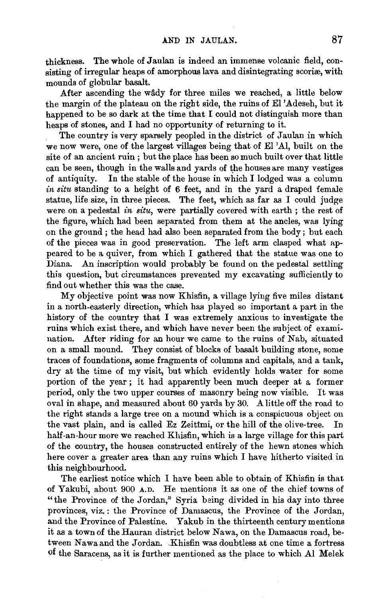thickness. The whole of Jaulan is indeed an immense volcanic field, consisting of irregular heaps of amorphous lava and disintegrating scoriæ, with mounds of globular basalt.

After ascending the wâdy for three miles we reached, a little below the margin of the plateau on the right side, the ruins of El 'Adeseh, but it happened to be so dark at the time that I could not distinguish more than heaps of stones, and I had no opportunity of returning to it.

The country is very sparsely peopled in the district of Jaulan in which we now were, one of the largest villages being that of El 'Al, built on the site of an ancient ruin ; but the place has been so much built over that little can be seen, though in the walls and yards of the houses are many vestiges of antiquity. In the stable of the house in which I lodged was a column *in situ* standing to a height of 6 feet, and in the yard a draped female statue, life size, in three pieces. The feet, which as far as I could judge were on a pedestal *in situ,* were partially covered with earth ; the rest of the figure, which had been separated from them at the ancles, was lying on the ground ; the head had also been separated from the body; but each of the pieces was in good preservation. The left arm clasped what appeared to be a quiver, from which I gathered that the statue was one to Diana. An inscription would probably be found on the pedestal settling this question, but circumstances prevented my excavating sufficiently to find out whether this was the case.

My objective point was now Khisfin, a village lying five miles distant in a north-easterly direction, which has played so important a part in the history of the country that I was extremely anxious to investigate the ruins which exist there, and which have never been the subject of examination. After riding for an hour we came to the ruins of Nab, situated on a small mound. They consist of blocks of basalt building stone, some traces of foundations, some fragments of columns and capitals, and a tank, dry at the time of my visit, but which evidently holds water for some portion of the year ; it had apparently been much deeper at a former period, only the two upper courses of masonry being now visible. It was oval in shape, and measured about 60 yards by 30. A little off the road to the right stands a large tree on a mound which is a conspicuous object on the vast plain, and is called Ez Zeitimi, or the hill of the olive-tree. In half-an-hour more we reached Khisfin, which is a large village for this part of the country, the houses constructed entirely of the hewn stones which here cover a greater area than any ruins which I have hitherto visited in this neighbourhood.

The earliest notice which I have been able to obtain of Khisfin is that of Yakubi, about 900  $A.D.$  He mentions it as one of the chief towns of "the Province of the Jordan," Syria being divided in his day into three provinces, viz. : the Province of Damascus, the Province of the Jordan, and the Province of Palestine. Yakub in the thirteenth century mentions it as a town of the Hauran district below Nawa, on the Damascus road, between Nawa and the Jordan. Khisfin was doubtless at one time a fortress of the Saracens, as it is further mentioned as the place to which Al Melek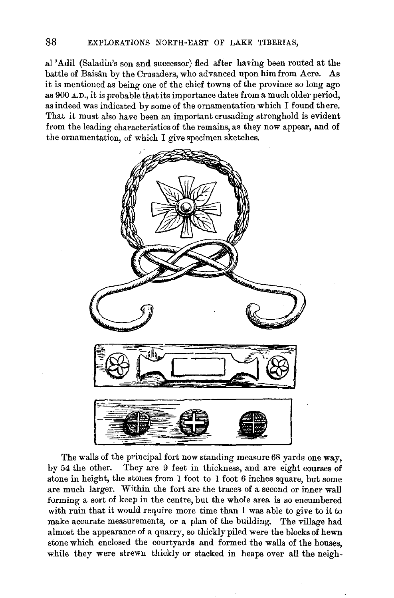al 'Adil (Saladin's son and successor) fled after having been routed at the battle of Baisân by the Crusaders, who advanced upon him from Acre. As it is mentioned as being one of the chief towns of the province so long ago as 900  $A.D.,$  it is probable that its importance dates from a much older period, as indeed was indicated by some of the ornamentation which I found there. That it must also have been an important crusading stronghold is evident from the leading characteristics of the remains, as they now appear, and of the ornamentation, of which I give specimen sketches.



The walls of the principal fort now standing measure 68 yards one way, by 54 the other. They are 9 feet in thickness, and are eight courses of stone in height, the stones from 1 foot to 1 foot 6 inches square, but some are much larger. Within the fort are the traces of a second or inner wall forming a sort of keep in the centre, but the whole area is so encumbered with ruin that it would require more time than I was able to give to it to make accurate measurements, or a plan of the building. The village had almost the appearance of a quarry, so thickly piled were the blocks of hewn stone which enclosed the courtyards and formed the walls of the houses, while they were strewn thickly or stacked in heaps over all the neigh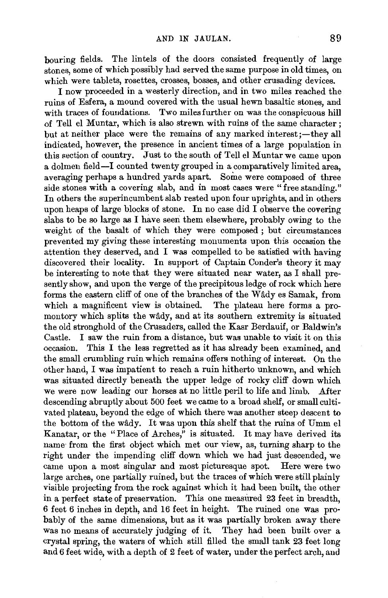bouring fields. The lintels of the doors consisted frequently of large stones, some of which possibly had served the same purpose in old times, on which were tablets, rosettes, crosses, bosses, and other crusading devices.

I now proceeded in a westerly direction, and in two miles reached the ruins of Esfera, a mound covered with the usual hewn basaltic stones, and with traces of foundations. Two miles further on was the conspicuous hill of Tell el Muntar, which is also strewn with ruins of the same character ; but at neither place were the remains of any marked interest ;—they all indicated, however, the presence in ancient times of a large population in this section of country. Just to the south of Tell el Muntar we came upon a dolmen field-I counted twenty grouped in a comparatively limited area, averaging perhaps a hundred yards apart. Some were composed of three side stones with a covering slab, and in most cases were "free standing." In others the superincumbent slab rested upon four uprights, and in others upon heaps of large blocks of stone. In no case did I observe the covering slabs to be so large as I have seen them elsewhere, probably owing to the weight of the basalt of which they were composed ; but circumstances prevented my giving these interesting monuments upon this occasion the attention they deserved, and I was compelled to be satisfied with having discovered their locality. In support of Captain Conder's theory it may be interesting to note that they were situated near water, as I shall presently show, and upon the verge of the precipitous ledge of rock which here forms the eastern cliff of one of the branches of the Wady es Samak, from which a magnificent view is obtained. The plateau here forms a promontory which splits the wildy, and at its southern extremity is situated the old stronghold of the Crusaders, called the Kasr Berdauif, or Baldwin's Castle. I saw the ruin from a distance, but was unable to visit it on this occasion. This I the less regretted as it has already been examined, and the small crumbling ruin which remains offers nothing of interest. On the other hand, I was impatient to reach a ruin hitherto unknown, and which was situated directly beneath the upper ledge of rocky cliff down which we were now leading our horses at no little peril to life and limb. After descending abruptly about 500 feet we came to a broad shelf, or small cultivated plateau, beyond the edge of which there was another steep descent to the bottom of the wâdy. It was upon this shelf that the ruins of Umm el Kanatar, or the "Place of Arches," is situated. It may have derived its name from the first object which met our view, as, turning sharp to the right under the impending cliff down which we had just descended, we came upon a most singular and most picturesque spot. Here were two large arches, one partially ruined, but the traces of which were still plainly visible projecting from the rock against which it had been built, the other in a perfect state of preservation. This one measured 23 feet in breadth, 6 feet 6 inches in depth, and 16 feet in height. The ruined one was probably of the same dimensions, but as it was partially broken away there was no means of accurately judging of it. They had been built over a crystal spring, the waters of which still filled the small tank 23 feet long and 6 feet wide, with a depth of 2 feet of water, under the perfect arch, and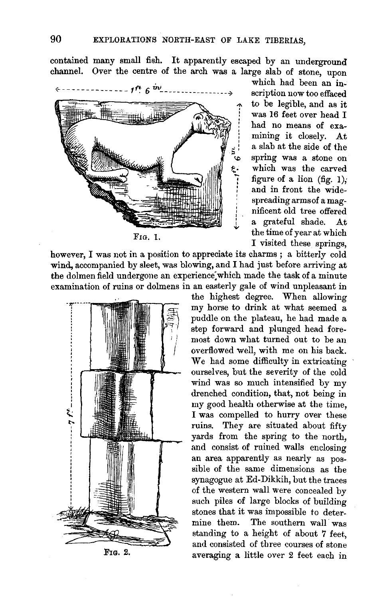contained many small fish. It apparently escaped by an underground channel. Over the centre of the arch was a large slab of stone, upon which had been an in-

<---------------tf~ 6 m.. \_\_\_\_\_\_\_\_\_\_\_\_\_\_\_\_\_ <sup>~</sup>  $\int$ !<br>! '  $\mathbf{g}$  .  $\sigma$ r

however, I was not in a position to appreciate its charms ; a bitterly cold wind, accompanied by sleet, was blowing, and I had just before arriving at the dolmen field undergone an experience: which made the task of a minute examination of ruins or dolmens in an easterly gale of wind unpleasant in

the highest degree. When allowing my horse to drink at what seemed a puddle on the plateau, he had made a step forward and plunged head foremost down what turned out to be an overflowed well, with me on his back. We had some difficulty in extricating ourselves, but the severity of the cold wind was so much intensified by my drenched condition, that, not being in my good health otherwise at the time, I was compelled to hurry over these ruins. They are situated about fifty yards from the spring to the north, and consist of ruined walls enclosing an area apparently as nearly as possible of the same dimensions as the synagogue at Ed-Dikkih, but the traces of the western wall were concealed by such piles of large blocks of building stones that it was impossible to determine them. The southern wall was standing to a height of about 7 feet, and consisted of three courses of stone averaging a little over 2 feet each in

' ' a slab at the side of the spring was a stone on which was the carved figure of a lion (fig. 1), and in front the widespreading arms of a mag-  $\ddot{x}$ . ' nificent old tree offered a grateful shade. At FIG. 1. the time of year at which I visited these springs,

scription now too effaced to be legible, and as it

was 16 feet over head I had no means of examining it closely. At



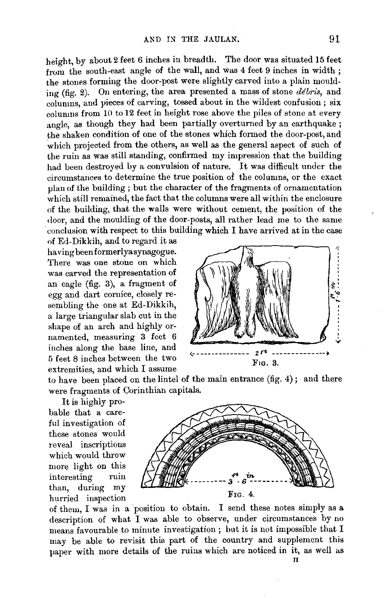height, by about 2 feet 6 inches in breadth. The door was situated 15 feet from the south-east angle of the wall, and was 4 feet 9 inches in width : the stones forming the door-post were slightly carved into a plain moulding (fig. 2). On entering, the area presented a mass of stone  $d\ell b$ ris, and columns, and pieces of carving, tossed about in the wildest confusion ; six colunms from 10 to 12 feet in height rose above the piles of stone at every angle, as though they had been partially overturned by an earthquake : the shaken condition of one of the stones which formed the door-post, and which projected from the others, as well as the general aspect of such of the ruin as was still standing, confirmed my impression that the building had been destroyed by a convulsion of nature. It was difficult under the circumstances to determine the true position of the columns, or the exact plan of the building ; but the character of the fragments of ornamentation which still remained, the fact that the columns were all within the enclosure of the building, that the walls were without cement, the position of the •loor, and the moulding of the door-posts, all rather lead me to the same conclusion with respect to this building which I have arrived at in the case

of Ed-Dikkih, and to regard it as having beenformerlyasynagogue. There was one stone on which was carved the representation of an eagle (fig. 3), a fragment of egg and dart cornice, closely resembling the one at Ed-Dikkih, a large triangular slab cut in the shape of an arch and highly ornamented, measuring 3 feet 6 inches along the base line, and  $5 \text{ feet } 8 \text{ inches between the two}$  Fig. 3. extremities, and which I assume



to have been placed on the lintel of the main entrance (fig. 4); and there were fragments of Corinthian capitals.

It is highly probable that a careful investigation of these stones would reveal inscriptions which would throw more light on this interesting ruin than, during my hurried inspection



of them, I was in a position to obtain. I send these notes simply as a description of what I was able to observe, under circumstances by no means favourable to minute investigation ; but it is not impossible that I may be able to revisit this part of the country and supplement this paper with more details of the ruins which are noticed in it, as well as IT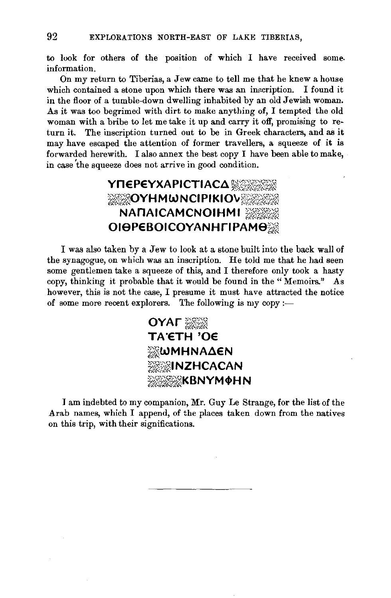to look for others of the position of which I have received some. information.

On my return to Tiberias, a Jew came to tell me that he knew a house which contained a stone upon which there was an inscription. I found it in the floor of a tumble-down dwelling inhabited by an old Jewish woman. As it was too begrimed with dirt to make anything of, I tempted the old woman with a bribe to let me take it up and carry it off, promising to return it. The inscription turned out to be in Greek characters, and as it may have escaped the attention of former travellers, a squeeze of it is forwarded herewith. I also annex the best copy I have been able to make, in case 'the squeeze does not arrive in good condition.

**YNEPEYXAPICTIACA**  $~\&\&$  OYHMWNCIPIKIOV **NANAICAMCNOIHMI OIOPEBOICOYANHFIPAMO** 

I was also taken by a Jew to look at a stone built into the back wall of the synagogue, on which was an inscription. He told me that he had seen some gentlemen take a squeeze of this, and I therefore only took a hasty copy, thinking it probable that it would be found in the " Memoirs." As however, this is not the case, I presume it must have attracted the notice of some more recent explorers. The following is my copy :-



I am indebted to my companion, Mr. Guy Le Strange, for the list of the Arab names, which I append, of the places taken down from the natives on this trip, with their significations.